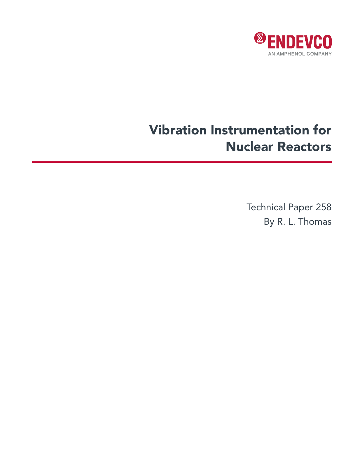

# Vibration Instrumentation for Nuclear Reactors

Technical Paper 258 By R. L. Thomas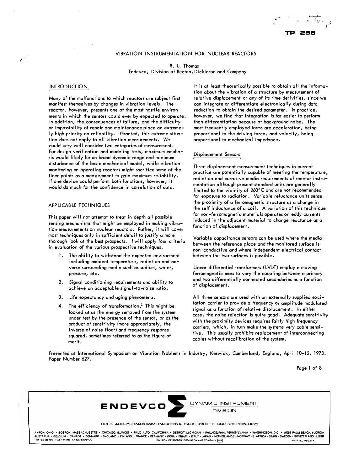# VIBRATION INSTRUMENTATION FOR NUCLEAR REACTORS

R. L. Thomas Endevco, Division of Becton, Dickinson and Company

# **INTRODUCTION**

Many of the malfunctions to which reactors ore subject first manifest themselves by changes in vibration levels. The reactor, however, presents one of the most hostile environments in which the sensors could ever by expected to operate. In addition, the consequences of failure, and the difficulty or impossibility of repair and maintenance place an extremely high priority on reliability. Granted, this extreme situation does not apply to all vibration measurements. We could very well consider two categories of measurement. For design verification and modeling tests, maximum emphasis would likely be on broad dynamic range and minimum disturbance of the basic mechanical model, while vibration monitoring on operating reactors might sacrifice some of the finer points as a measurement to gain maximum reliability. If one device could perform both functions, however, it would do much for the confidence in correlation of data.

## APPLICABLE TECHNIQUES

This paper will not attempt to treat in depth oil possible sensing mechanisms that might be employed in making vibration measurements on nuclear reactors. Rather, it will cover most techniques only in sufficient detail to justify a more thorough look at the best prospects. I will apply four criteria in evaluation of the various prospective techniques.

- 1. The ability to withstand the expected environment including ambient temperature, radiation and adverse surrounding media such as sodium, water, pressure, etc.
- 2. Signal conditioning requirements and ability to achieve an acceptable signal-to-noise ratio.
- 3. Life expectancy and aging phenomena.
- 4. The efficiency of transformation.<sup>1</sup> This might be looked at as the energy removed from the system under test by the presence of the sensor, or as the product of sensitivity (more appropriately, the inverse of noise floor) and frequency response squared, sometimes referred to as the figure of merit.

It is at least theoretically possible to obtain all the information about the vibration of a structure by measurement of relative displacement or any of its time derivities, since we can integrate or differentiate electronically during data reduction to obtain the desired parameter. In practice, however, we find that integration is far easier to perform than differentiation because of background noise. The most frequently employed forms ore acceleration, being proportional to the driving force, and velocity, being proportional to mechanical impedance.

**TP 25B** 

#### Displacement Sensors

Three displacement measurement techniques in current practice are potentially capable of meeting the temperature, radiation and corrosive media requirements of reactor instrumentation although present standard units ore generally limited to the vicinity of 260°C and are not recommended for exposure to radiation. Variable reluctance units sense the proximity of a ferromagnetic structure as a change in the self inductance of a coil. A variation of this technique for non-ferromagnetic materials operates on eddy currents induced in t he adjacent material to change reactance as a function of displacement.

Variable capacitance sensors con be used where the media between the reference place and the monitored surface is non-conductive and where independent electrical contact between the two surfaces is possible.

Linear differential transformers (LVDT) employ a moving ferromagnetic mass to vary the coupling between a primary and two differentially connected secondaries as a function of displacement.

All three sensors are used with an externally supplied excitation carrier to provide a frequency or amplitude modulated signal as a function of relative displacement. In either case, the noise rejection is quite good. Adequate sensitivity with the proximity devices requires fairly high frequency carriers, which, in turn make the systems very cable sensitive. This usually prohibits replacement of interconnecting cables without recalibration of the system.

Presented at International Symposium on Vibration Problems in Industry, Keswick, Cumberland, England, April 10-12, 1973. Paper Number 627.

Page 1 of 8



.<br>AKRON, OHIO • BOSTON, MAS\$ACHUSETTS • CHICAGO, ILLINOIS • PALO ALTO, CALIFORNIA • DETROIT, MICHIGAN • PHILADELPHIA, PENNSYLVANIA • WASHINGTON, D.C. • WEST PALM BEACH, FLORIDA AUSTRALIA • BELGIUM • CANADA • DENMARK • ENGLAND • FINLAND • FRANCE • GERMANY • INDIA • ISRAEL • ITALY • IAPAN • NETHERLANDS • NORWAY • S. AFRICA • SPAIN • SWEDEN • SWITZERLAND • USSR<br>DIVISION OF BECTON, DICKINSON AND COMP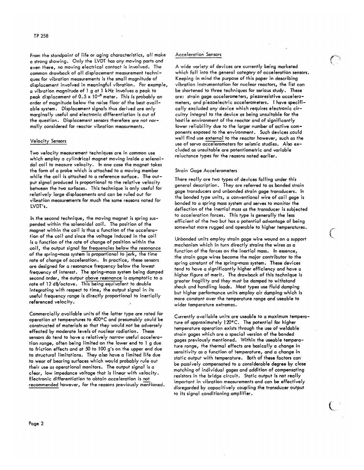From the standpoint of life or aging characteristics, all make a strong showing. Only the LVDT has any moving parts and even there, no moving electrical contact is involved. The common drawback of all displacement measurement techniques for vibration measurements is the small magnitude of displacement involved in meaningful vibration. For example, a vibration magnitude of 1 g at 1 kHz involves a peak to peak displacement of  $0.5 \times 10^{-8}$  meter. This is probably an order of magnitude below the noise floor of the best available system. Displacement signals thus derived are only marginally useful and electronic differentiation is out of the question. Displacement sensors therefore are not normally considered for reactor vibration measurments.

## Velocity Sensors

Two velocity measurement techniques are in common use which employ a cylindrical magnet moving inside a solenoidal coil to measure velocity. In one case the magnet takes the form of a probe which is attached to a moving member while the coil is attached to a reference surface. The output signal produced is proportional to the relative velocity between the two surfaces. This technique is only useful for relatively large displacements and can be ruled out for vibration measurements for much the same reasons noted for LVDT's.

In the second technique, the moving magnet is spring suspended within the solenoidal coil. The position of the magnet within the coil is thus a function of the acceleration of the coil and since the voltage induced in the coil is a function of the rate of change of position within the coil, the output signal for frequencies below the resonance of the spring-mass system is proportional to jerk, the time rate of change of acceleration. In practice, these sensors are designed for a resonance frequency below the lowest frequency of interest. The spring-mass system being damped second order, the output above resonance is asymptotic to a rate of 12 dB/octave. This being equivalent to double integrating with respect to time, the output signal in its useful frequency range is directly proportional to inertially referenced velocity.

Commercially available units of the latter type are rated for operation at temperatures to 400°C and presumably could be constructed of materials so that they would not be adversely effected by moderate levels of nuclear radiation. These sensors do tend to have a relatively narrow useful acceleration range, often being limited on the lower end to I g due to friction effects and at 50 to 100 g's on the upper end due to structural limitations. They also have a limited life due to wear of bearing surfaces which would probably rule out their use as operational monitors. The output signal is a clear, low impedance voltage that is linear with velocity. Electronic differentiation to obtain acceleration is not recommended however, for the reasons previously mentioned.

# Acceleration Sensors

A wide variety of devices are currently being marketed which fall into the general category of acceleration sensors. Keeping in mind the purpose of this paper in describing vibration instrumentation for nuclear reactors, the list can be shortened to three techniques for serious study. These are: strain gage accelerometers, piezoresistive accelerometers, and piezoelectric accelerometers. I have specifically excluded any device which requires electronic circuitry integral to the device as being unsuitable for the hostile environment of the reactor and of significantly lower reliability due to the larger number of active components exposed to the environment. Such devices could well find use external to the reactor however, such as the use of servo accelerometers for seismic studies. Also excluded as unsuitable are potentiometric and variable reluctance types for the reasons noted earlier.

#### Strain Gage Accelerometers

There really are two types of devices falling under this general description. They are referred to as bonded strain gage transducers and unbonded strain gage transducers. In the bonded type units, a conventional wire of coil gage is bonded to a spring mass system and serves to monitor the deflection of the inertial mass as the transducer is subjected to acceleration forces. This type is generally the less efficient of the two but has a potential advantage of being somewhat more rugged and operable to higher temperatures.

Unbonded units employ strain gage wire wound on a support mechanism which in turn directly strains the wires as a function of the forces on the inertial mass. In essence, the strain gage wires become the major contributor to the spring constant of the spring-mass system. These devices tend to have a significantly higher efficiency and have a higher figure of merit. The drawback of this technique is greater fragility and they must be damped to withstand shock and handling loads. Most types use fluid damping but higher performance units employ air damping which is more constant over the temperature range and useable to wider temperature extremes.

Currently available units are useable to a maximum temperature of approximately 120°C. The potential for higher temperature operation exists through the use of weldable strain gages which are a special version of the bonded gages previously mentioned. Within the useable temperature range, the thermal effects are basically a change in sensitivity as a function of temperature, and a change in static output with temperature. Both of these factors can be passively compensated to a considerable degree by close matching of individual gages and addition of compensating resistors in the bridge circuit. Static output is not really important in vibration measurements and can be effectively disregarded by capacitively coupling the transducer output to its signal conditioning amplifier.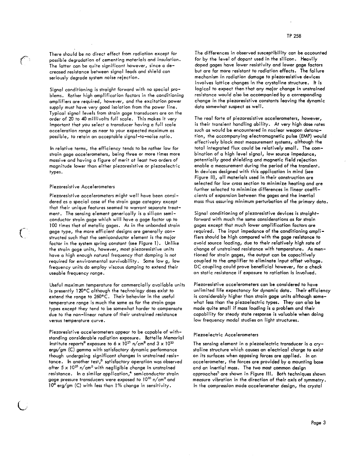There should be no direct effect from radiation except for possible degradation of cementing materials and insulation. The latter can be quite significant however, since a decreased resistance between signal leads and shield can seriously degrade system noise rejection.

Signal conditioning is straight forward with no special problems. Rather high amplification factors in the conditioning amplifiers are required, however, and the excitation power supply must have very good isolation from the power line. Typical signal levels from strain gage transducers are on the order of 20 to 40 millivolts full scale. This makes it very important that you select a transducer having a full scale acceleration range as near to your expected maximum as possible, to retain an acceptable signal-to-noise ratio.

In relative terms, the efficiency tends to be rather low for strain gage accelerometers, being three or more times more massive and having a figure of merit at least two orders of magnitude lower than either piezoresistive or piezoelectric types.

#### Piezoresistive Accelerometers

 $\left( \begin{array}{c} 1 \ 1 \end{array} \right)$ 

Piezoresistive accelerometers might well have been considered as a special case of the strain gage category except that their unique features seemed to warrant separate treatment. The sensing element generically is a silicon semiconductor strain gage which will have a gage factor up to 100 times that of metalic gages. As in the unbonded strain gage type, the more efficient designs are generally constructed such that the semiconductor element is the major factor in the system spring constant (see Figure 1). Unlike the strain gage units, however, most piezoresistive units have a high enough natural frequency that damping is not required for environmental survivability. Some low g, low frequency units do employ viscous damping to extend their useable frequency range.

Useful maximum temperature for commercially available units is presently 120°C although the technology does exist to extend the range to 260°C. Their behavior in the useful temperature range is much the same as for the strain gage types except they tend to be somewhat harder to compensate due to the non-linear nature of their unstrained resistance versus temperature curve.

Piezoresistive accelerometers appear to be capable of withstanding considerable radiation exposure. Battelle Memorial Institute reports<sup>2</sup> exposure to 6 x  $10^{15}$  n/cm<sup>2</sup> and 3 x  $10^{10}$ ergs/gm (C) gamma with satisfactory dynamic performance though undergoing significant changes in unstrained resistance. In another test,<sup>3</sup> satisfactory operation was observed after 5 x  $10^{15}$  n/cm<sup>2</sup> with negligible change in unstrained resistance. In a similar application, $4$  semiconductor strain gage pressure transducers were exposed to  $10^{15}$  n/cm $^2$  and 10<sup>8</sup> erg/gm (C) with less than 1% change in sensitivity.

The differences in observed susceptibility can be accounted for by the level of dopant used in the silicon. Heavily doped gages have lower resistivity and lower gage factors but are far more resistant to radiation effects. The failure mechanism in radiation damage to piezoresistive devices involves lattice changes in the crystaline structure. It is logical to expect then that any major change in unstrained resistance would also be accompanied by a corresponding change in the piezoresistive constants leaving the dynamic data somewhat suspect as well.

The real forte of piezoresistive accelerometers, however, is their transient handling ability. At very high dose rates such as would be encountered in nuclear weapon detonation, the accompanying electromagnetic pulse (EMP) would effectively block most measurement systems, although the total integrated flux could be relatively small. The combination of a high level signal, low source impedance, potentially good shielding and magnetic field rejection enable a measurement during the period of the transient. In devices designed with this application in mind (see Figure II), all materials used in their construction are selected for low cross section to minimize heating and are further selected to minimize differences in linear coefficients of expansion between the gages and the inertial mass thus assuring minimum perturbation of the primary data.

Signal conditioning of piezoresistive devices is straightforward with much the same considerations as for strain gages except that much lower amplification factors are required. The input impedance of the conditioning amplifiers should be high compared with the gage resistance to avoid source loading, due to their relatively high rate of change of unstrained resistance with temperature. As mentioned for strain gages, the output can be capacitively coupled to the amplifier to eliminate input offset voltage. DC coupling could prove beneficial however, for a check on static resistance if exposure to ratiation is involved.

Piezoresistive accelerometers can be considered to have unlimited life expectancy for dynamic data. Their efficiency is considerably higher than strain gage units although somewhat less than the piezoelectric types. They can also be made quite small if mass loading is a problem and their capability for steady state response is valuable when doing low frequency modal studies on light structures.

#### Piezoelectric Accelerometers

The sensing element in a piezoelectric transducer is a crystaline structure which causes an electrical charge to exist on its surfaces when opposing forces are applied. In an accelerometer, the forces are provided by a mounting base and an inertial mass. The two most common design approaches<sup>5</sup> are shown in Figure III. Both techniques shown measure vibration in the direction of their axis of symmetry. In the compression mode accelerometer design, the crystal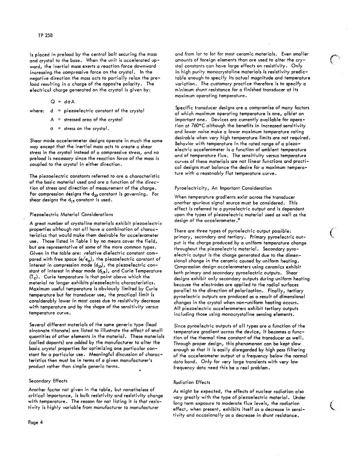is placed in preload by the central bolt securing the mass and crystal to the base. When the unit is accelerated upward, the inertial mass exerts a reaction force downward increasing the compressive force on the crystal. In the negative direction the mass acts to partially relax the preload resulting in a charge of the opposite polarity. The electrical charge generated on the crystal is given by:

$$
Q = d\sigma A
$$

where:  $d =$  piezoelectric constant of the crystal

- stressed area of the crystal
- $\sigma$  = stress on the crystal.

Shear mode accelerometer designs operate in much the same way except that the inertial mass acts to create a shear stress in the crystal instead of a compressive stress, and no preload is necessary since the reaction force of the mass is coupled to the crystal in either direction.

The piezoelectric constants referred to are a characteristic of the basic material used and are a function of the direction of stress and direction of measurement of the charge. For compression designs the  $d_{33}$  constant is governing. For shear designs the  $d_{15}$  constant is used.

## Piezoelectric Material Considerations

A great number of crystaline materials exhibit piezoelectric properties although not all have a combination of characteristics that would make them desirable for accelerometer use. Those listed in Table 1 by no means cover the field, but are representative of some of the more common types. Given in the table are: relative dielectric constant compared with free space  $(e/e_0)$ , the piezoelectric constant of interest in compression mode  $(d_{33})$ , the piezoelectric constant of interest in shear mode  $(d_{1g})$ , and Curie Temperature  $(T_c)$ . Curie temperature is that point above which the meterial no longer exhibits piezoelectric characteristics. Maximum useful temperature is obviously limited by Curie temperature but for transducer use, the practical limit is considerably lower in most cases due to resistivity decrease with temperature and by the shape of the sensitivity versus temperature curve.

Several different materials of the same generic type (lead zirconate titanate) are listed to illustrate the effect of small quantities of other elements in the material. These materials (called dopants) are added by the manufacturer to alter the basic crystal properties for optimizing one particular constant for a particular use. Meaningful discussion of characteristics then must be in terms of a given manufacturer's product rather than simple generic terms.

## Secondary Effects

Another factor not given in the table, but nonetheless of critical importance, is bulk resistivity and resistivity change with temperature. The reason for not listing it is that resistivity is highly variable from manufacturer to manufacturer

and from lot to lot for most ceramic materials. Even smaller amounts of foreign elements than are used to alter the crystal constants can have large effects on resistivity. Only in high purity monocrystaline materials is resistivity predictable enough to specify its actual magnitude and temperature variation. The customary practice therefore is to specify a minimum shunt resistance for a finished transducer at its maximum operating temperature.

Specific transducer designs are a compromise of many factors of which maximum operating temperature is one, albiet an important one. Devices are currently available for operation at 760°C although the benefits in increased sensitivity and lower noise make a lower maximum temperature rating desirable when very high temperature limits are not required. Behavior with temperature in the rated range of a piezoelectric accelerometer is a function of ambient temperature and of temperature flux. The sensitivity versus temperature curves of these materials are not linear functions and practical designs must balance the desire for a maximum temperature with a reasonably flat temperature curve.

## Pyroelectricity, An Important Consideration

When temperature gradients exist across the transducer another spurious signal source must be considered. This effect is referred to a pyroelectric output and is dependent upon the types of piezoelectric material used as well as the design of the accelerometer.<sup>6</sup>

There are three types of pyroelectric output possible: primary, secondary and tertiary. Primary pyroelectric output is the charge produced by a uniform temperature change throughout the piezoelectric material. Secondary pyroelectric output is the charge generated due to the dimensional change in the ceramic caused by uniform heating. Compression design accelerometers using ceramics exhibit both primary and secondary pyroelectric outputs. Shear designs exhibit only secondary outputs during uniform heating because the electrodes are applied to the radial surfaces parallel to the direction of polarization. Finally, tertiary pyroelectric outputs are produced as a result of dimensional changes in the crystal when non-uniform heating occurs. All piezoelectric accelerometers exhibit tertiary outputs including those using monocrystaline sensing elements.

Since pyroelectric outputs of all types are a function of the temperature gradient across the device, it becomes a function of the thermal time constant of the transducer as well. Through proper design, this phenomenon can be kept slow enough so that it is easily disregarded by high pass filtering of the accelerometer output at a frequency below the normal data band. Only for very large transients with very low frequency data need this be a real problem.

## **Radiation Effects**

As might be expected, the effects of nuclear radiation also vary greatly with the type of piezoelectric material. Under long term exposure to moderate flux levels, the radiation effect, when present, exhibits itself as a decrease in sensitivity and occasionally as a decrease in shunt resistance.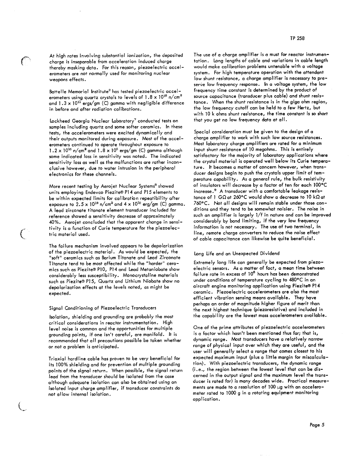At high rates involving substantial ionization, the deposited charge is inseparable from acceleration induced charge thereby masking data. For this reason, piezoelectric accelerometers are not normally used for monitoring nuclear weapons effects.

Battelle Memorial Institute<sup>2</sup> has tested piezoelectric accelerometers using quartz crystals to levels of  $1.8 \times 10^{16}$  n/cm<sup>2</sup> and  $1.3 \times 10^{11}$  ergs/gm (C) gamma with negligible difference in before and after radiation calibrations.

Lockheed Georgia Nuclear Laboratory<sup>7</sup> conducted tests on samples including quartz and some softer ceramics. In these tests, the accelerometers were excited dynamically and their outputs monitored during exposure. Most of the accelerometers continued to operate throughout exposure to  $1.2 \times 10^{15}$  n/cm<sup>2</sup> and  $1.8 \times 10^5$  ergs/gm (C) gamma although some indicated loss in sensitivity was noted. The indicated sensitivity loss as well as the malfunctions are rather inconclusive however, due to water intrusion in the peripheral electronics for these channels.

More recent testing by Aerojet Nuclear Systems<sup>8</sup> showed units employing Endevco Piezite® P14 and P15 elements to be within expected limits for calibration repeatibility after exposure to 2.5 x 10<sup>18</sup> n/cm<sup>2</sup> and 4 x 10<sup>10</sup> erg/gm (C) gamma. A lead zirconate titanate element transducer included for reference showed a sensitivity decrease of approximately 40%. Aerojet concluded that the apparent change in sensitivity is a function of Curie temperature for the piezoelectric material used.

The failure mechanism involved appears to be depolarization of the piezoelectric material. As would be expected, the "soft" ceramics such as Barium Titanate and Lead Zirconate Titanate tend to be most affected while the "harder" ceramics such as Piezite® P10, P14 and Lead Metaniobate show considerably less susceptibility. Monocrystaline materials such as Piezite® P15, Quartz and Lithium Niobate show no depolarization effects at the levels noted, as might be expected.

#### Signal Conditioning of Piezoelectric Transducers

Isolation, shielding and grounding are probably the most critical considerations in reactor instrumentation. High level noise is common and the opportunities for multiple grounding points, if one isn't careful, are manifold. It is recommended that all precautions possible be taken whether or not a problem is anticipated.

Triaxial hardline cable has proven to be very beneficial for its 100% shielding and for prevention of multiple grounding points of the signal return. When possible, the signal return legd from the transducer should be isolated from the case although adequate isolation can also be obtained using an isolated input charge amplifier, if transducer constraints do not allow internal isolation.

The use of a charge amplifier is a must for reactor instrumentation. Long lengths of cable and variations in cable length would make calibration problems untenable with a voltage system. For high temperature operation with the attendant low shunt resistance, a charge amplifier is necessary to preserve low frequency response. In a voltage system, the low frequency time constant is determined by the product of source capacitance (transducer plus cable) and shunt resistance. When the shunt resistance is in the giga ohm region, the low frequency cutoff can be held to a few Hertz, but with 10 k ohms shunt resistance, the time constant is so short that you get no low frequency data at all.

Special consideration must be given to the design of a charge amplifier to work with such low source resistances. Most laboratory charge amplifiers are rated for a minimum input shunt resistance of 10 megohms. This is entirely satisfactory for the majority of laboratory applications where the crystal material is operated well below its Curie temperature. It becomes a matter of concern however, when transducer designs begin to push the crystals upper limit of temperature capability. As a general rule, the bulk resistivity of insulators will decrease by a factor of ten for each 100°C increase.<sup>9</sup> A transducer with a comfortable leakage resistance of 1 G $\Omega$  at 260°C would show a decrease to 10 k $\Omega$  at 760°C. Not all designs will remain stable under those conditions and they tend to be somewhat noisier. The noise in such an amplifier is largely 1/f in nature and can be improved considerably by band limiting, if the very low frequency information is not necessary. The use of two terminal, in line, remote charge converters to reduce the noise effect of cable capacitance can likewise be quite beneficial.

## Long Life and an Unexpected Dividend

Extremely long life can generally be expected from piezoelectric sensors. As a matter of fact, a mean time between failure rate in excess of 10<sup>6</sup> hours has been demonstrated under conditions of temperature cycling to 480°C in an aircraft engine monitoring application using Piezite® P14 ceramic. Piezoelectric accelerometers are also the most efficient vibration sensing means available. They have perhaps an order of magnitude higher figure of merit than the next highest technique (piezoresistive) and included in the capability are the lowest mass accelerometers available.

One of the prime attributes of piezoelectric accelerometers is a factor which hasn't been mentioned thus far; that is, dynamic range. Most transducers have a relatively narrow range of physical input over which they are useful, and the user will generally select a range that comes closest to his expected maximum input (plus a little margin for miscalculation). With piezoelectric transducers, the dynamic range (i.e., the region between the lowest level that can be discerned in the output signal and the maximum level the transducer is rated for) is many decades wide. Practical measurements are made to a resolution of 100 µg with an accelerometer rated to 1000 g in a rotating equipment monitoring application.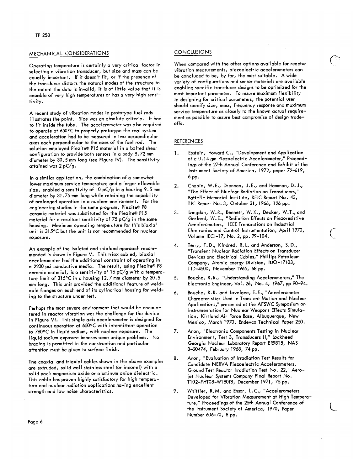## MECHANICAL CONSIDERATIONS

Operating temperature is certainly a very critical factor in selecting a vibration transducer, but size and mass can be equally important. If it doesn't fit, or if the presence of the transducer distorts the natural modes of the structure to the extent the data is invalid, it is of little value that it is capable of very high temperatures or has a very high sensitivity.

A recent study of vibration modes in prototype fuel rods illustrates the point. Size was an absolute criteria. It had to fit inside the tube. The accelerometer was also required to operate at 650°C to properly prototype the real system and acceleration had to be measured in two perpendicular axes each perpendicular to the axes of the fuel rod. The solution employed Piezite® P15 material in a bolted shear configuration to provide both sensors in a body 5.72 mm diameter by 30.5 mm long (see Figure IV). The sensitivity attained was 2 pC/g.

In a similar application, the combination of a somewhat lower maximum service temperature and a larger allowable size, enabled a sensitivity of 10  $pC/g$  in a housing 9.5 mm diameter by 31.75 mm long while retaining the capability of prolonged operation in a nuclear environment. For the engineering studies in the same program, Piezite® P8 ceramic material was substituted for the Piezite® P15 material for a resultant sensitivity of 75  $pC/g$  in the same housing. Maximum operating temperature for this biaxial unit is 315°C but the unit is not recommended for nuclear exposure.

An example of the isolated and shielded approach recommended is shown in Figure V. This triax cabled, biaxial accelerometer had the additional constraint of operating in a 2200 psi conductive media. The result, using Piezite® P8 ceramic material, is a sensitivity of 16 pC/g with a temperature limit of 315°C in a housing 12.7 mm diameter by 30.5 mm long. This unit provided the additional feature of weldable flanges on each end of its cylindrical housing for welding to the structure under test.

Perhaps the most severe environment that would be encountered in reactor vibration was the challenge for the device in Figure VI. This single axis accelerometer is designed for continuous operation at 650°C with intermittent operation to 760°C in liquid sodium, with nuclear exposure. The liquid sodium exposure imposes some unique problems. No brazing is permitted in the construction and particular attention must be given to surface finish.

The coaxial and triaxial cables shown in the above examples are extruded, solid wall stainless steel (or inconel) with a solid pack magnesium oxide or aluminum oxide dielectric. This cable has proven highly satisfactory for high temperature and nuclear radiation applications having excellent strength and low noise characteristics.

# **CONCLUSIONS**

When compared with the other options available for reactor vibration measurements, piezoelectric accelerometers can be concluded to be, by far, the most suitable. A wide variety of configurations and sensor materials are available enabling specific transducer designs to be optimized for the most important parameter. To assure maximum flexibility in designing for critical parameters, the potential user should specify size, mass, frequency response and maximum service temperature as closely to the known actual requirement as possible to assure best compromise of design tradeoffs.

## **REFERENCES**

- Epstein, Howard C., "Development and Application  $\mathbf{1}$ . of a 0.14 gm Piezoelectric Accelerometer," Proceedings of the 27th Annual Conference and Exhibit of the Instrument Society of America, 1972, paper 72-619, 6 pp.
- Chapin, W.E., Drennan, J.E., and Hamman, D.J.,  $2.$ "The Effect of Nuclear Radiation on Transducers,' Battelle Memorial Institute, REIC Report No. 43, TIC Report No. 3, October 31, 1966, 126 pp.
- Langdon, W.R., Bennett, W.K., Decker, W.T., and 3. Garland, W.E., "Radiation Effects on Piezoresistive Accelerometers," IEEE Transactions on Industrial Electronics and Control Instrumentation, April 1970, Volume IECI-17, No. 2, pp. 99-104.
- Terry, F.D., Kindred, R.L. and Anderson, S.D., 4. "Transient Nuclear Radiation Effects on Transducer Devices and Electrical Cables," Phillips Petroleum Company, Atomic Energy Division, IDO-17103, TID-4500, November 1965, 68 pp.
- Bouche, R.R., "Understanding Accelerometers," The 5, Electronic Engineer, Vol. 26, No. 4, 1967, pp 90-94.
- 6. Bouche, R.R. and Lovelace, E.E., "Accelerometer Characteristics Used in Transient Motion and Nuclear Applications," presented at the AFSWC Symposium on Instrumentation for Nuclear Weapons Effects Simulation, Kirtland Air Force Base, Albuquerque, New Mexico, March 1970, Endevco Technical Paper 250.
- 7. Anon, "Electronic Components Testing in Nuclear Environment, Test 3, Transducers II," Lockheed Georgia Nuclear Laboratory Report ER9815, NAS 8-20474, February 1968, 74 pp.
- Anon, "Evaluation of Irradiation Test Results for 8. Candidate NERVA Piezoelectric Accelerometers, Ground Test Reactor Irradiation Test No. 22," Aerojet Nuclear Systems Company Final Report No. T102-FHT08-W150f8, December 1971, 75 pp.
- Whittier, R.M. and Ensor, L.C., "Accelerometers 9. Developed for Vibration Measurement at High Temperature," Proceedings of the 25th Annual Conference of the Instrument Society of America, 1970, Paper Number 606-70, 8 pp.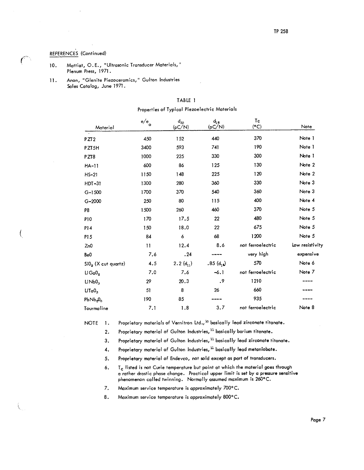# REFERENCES (Continued)

 $\left($ 

- Mattiat, O.E., "Ultrasonic Transducer Materials," 10. Plenum Press, 1971.
- Anon, "Glenite Piezoceramics," Gulton Industries  $11.$ Sales Catalog, June 1971.

| Material              | $\,$ e/e $\,$ | $d_{33}$<br>(pC/N) | $d_{15}$<br>(pC/N) | T <sub>c</sub><br>(°C) | Note            |
|-----------------------|---------------|--------------------|--------------------|------------------------|-----------------|
|                       |               |                    |                    |                        |                 |
| PZT <sub>2</sub>      | 450           | 152                | 440                | 370                    | Note 1          |
| PZT5H                 | 3400          | 593                | 741                | 190                    | Note 1          |
| PZT8                  | 1000          | 225                | 330                | 300                    | Note 1          |
| <b>HA-11</b>          | 600           | 86                 | 125                | 130                    | Note 2          |
| $HS-21$               | 1150          | 148                | 225                | 120                    | Note 2          |
| HDT-31                | 1300          | 280                | 360                | 330                    | Note 3          |
| $G-1500$              | 1700          | 370                | 540                | 360                    | Note 3          |
| $G - 2000$            | 250           | 80                 | 115                | 400                    | Note 4          |
| P8                    | 1500          | 260                | 460                | 370                    | Note 5          |
| <b>P10</b>            | 170           | 17.5               | 22                 | 480                    | Note 5          |
| P14                   | 150           | 18.0               | 22                 | 675                    | Note 5          |
| P15                   | 84            | 6                  | 68                 | 1200                   | Note 5          |
| Zn0                   | $\mathbf{1}$  | 12.4               | 8.6                | not ferroelectric      | low resistivity |
| Be0                   | 7.6           | .24                |                    | very high              | expensive       |
| $SiO2$ (X cut quartz) | 4.5           | 2.2 $(d_{11})$     | $.85(d_1)$         | 570                    | Note 6          |
| $Li$ Ga $02$          | 7.0           | 7.6                | $-6.1$             | not ferroelectric      | Note 7          |
| LiNb0 <sub>3</sub>    | 29            | 20.3               | .9                 | 1210                   |                 |
| LiTaO <sub>3</sub>    | 51            | 8                  | 26                 | 660                    |                 |
| $PbNb_2O_6$           | 190           | 85                 |                    | 935                    |                 |
| Tourmaline            | 7.1           | 1.8                | 3.7                | not ferroelectric      | Note 8          |

# TABLE 1

Properties of Typical Piezoelectric Materials

**NOTE**  $\blacksquare$ 

Proprietary materials of Vernitron Ltd., <sup>10</sup> basically lead zirconate titanate.

Proprietary material of Gulton Industries, 11 basically barium titanate.  $2.$ 

Proprietary material of Gulton Industries, 11 basically lead zirconate titanate. 3.

- Proprietary material of Gulton Industries, <sup>11</sup> basically lead metaniobate. 4.
- 5. Proprietary material of Endevco, not sold except as part of transducers.
- $\mathsf{T}_{\mathsf{C}}$  listed is not Curie temperature but point at which the material goes through 6. a rather drastic phase change. Practical upper limit is set by a pressure sensitive<br>phenomenon called twinning. Normally assumed maximum is 260°C.
- 7. Maximum service temperature is approximately 700°C.

8. Maximum service temperature is approximately 800°C.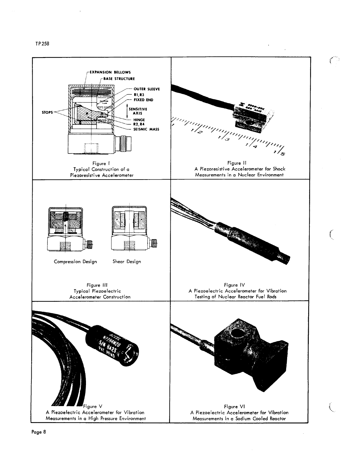TP 258